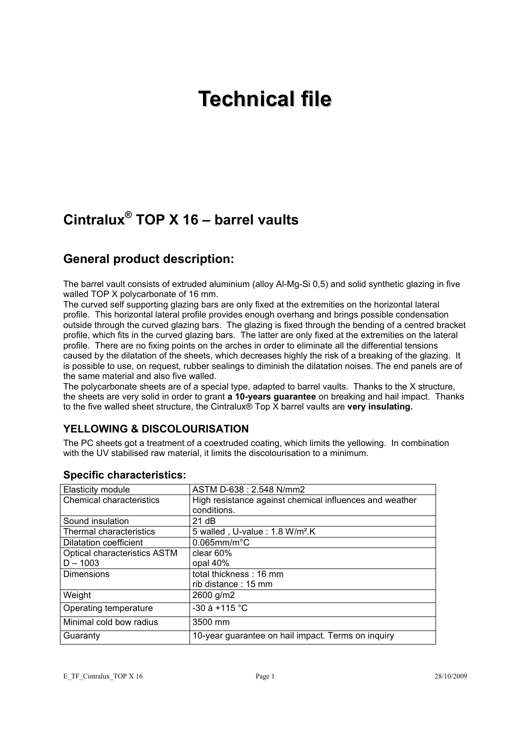# **Technical file**

# **Cintralux® TOP X 16 – barrel vaults**

# **General product description:**

The barrel vault consists of extruded aluminium (alloy Al-Mg-Si 0,5) and solid synthetic glazing in five walled TOP X polycarbonate of 16 mm.

The curved self supporting glazing bars are only fixed at the extremities on the horizontal lateral profile. This horizontal lateral profile provides enough overhang and brings possible condensation outside through the curved glazing bars. The glazing is fixed through the bending of a centred bracket profile, which fits in the curved glazing bars. The latter are only fixed at the extremities on the lateral profile. There are no fixing points on the arches in order to eliminate all the differential tensions caused by the dilatation of the sheets, which decreases highly the risk of a breaking of the glazing. It is possible to use, on request, rubber sealings to diminish the dilatation noises. The end panels are of the same material and also five walled.

The polycarbonate sheets are of a special type, adapted to barrel vaults. Thanks to the X structure, the sheets are very solid in order to grant **a 10-years guarantee** on breaking and hail impact. Thanks to the five walled sheet structure, the Cintralux® Top X barrel vaults are **very insulating.** 

## **YELLOWING & DISCOLOURISATION**

The PC sheets got a treatment of a coextruded coating, which limits the yellowing. In combination with the UV stabilised raw material, it limits the discolourisation to a minimum.

| Elasticity module                   | ASTM D-638 : 2.548 N/mm2                                |  |  |
|-------------------------------------|---------------------------------------------------------|--|--|
| <b>Chemical characteristics</b>     | High resistance against chemical influences and weather |  |  |
|                                     | conditions.                                             |  |  |
| Sound insulation                    | 21 dB                                                   |  |  |
| Thermal characteristics             | 5 walled, U-value: 1.8 W/m <sup>2</sup> .K              |  |  |
| Dilatation coefficient              | $0.065$ mm/m $^{\circ}$ C                               |  |  |
| <b>Optical characteristics ASTM</b> | clear $60%$                                             |  |  |
| $D - 1003$                          | opal 40%                                                |  |  |
| <b>Dimensions</b>                   | total thickness: 16 mm                                  |  |  |
|                                     | rib distance: 15 mm                                     |  |  |
| Weight                              | 2600 g/m2                                               |  |  |
| Operating temperature               | $-30$ à +115 °C                                         |  |  |
| Minimal cold bow radius             | 3500 mm                                                 |  |  |
| Guaranty                            | 10-year guarantee on hail impact. Terms on inquiry      |  |  |

## **Specific characteristics:**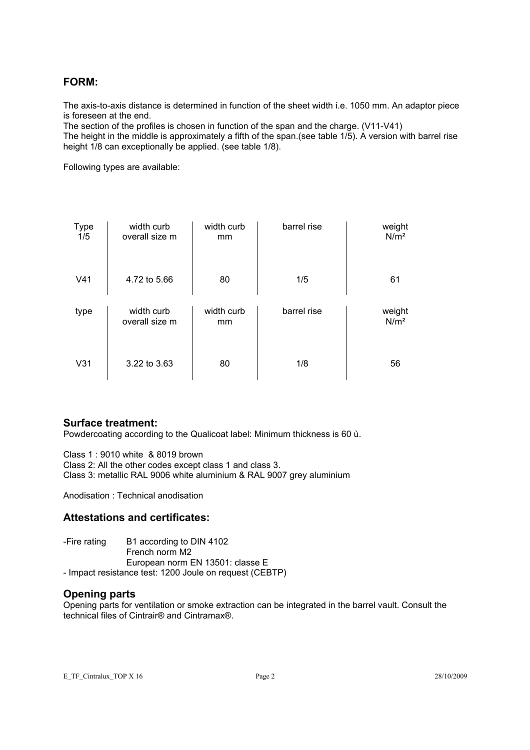## **FORM:**

The axis-to-axis distance is determined in function of the sheet width i.e. 1050 mm. An adaptor piece is foreseen at the end.

The section of the profiles is chosen in function of the span and the charge. (V11-V41) The height in the middle is approximately a fifth of the span.(see table 1/5). A version with barrel rise height 1/8 can exceptionally be applied. (see table 1/8).

Following types are available:

| <b>Type</b><br>1/5 | width curb<br>overall size m | width curb<br>mm | barrel rise | weight<br>N/m <sup>2</sup> |
|--------------------|------------------------------|------------------|-------------|----------------------------|
| V <sub>41</sub>    | 4.72 to 5.66                 | 80               | 1/5         | 61                         |
| type               | width curb<br>overall size m | width curb<br>mm | barrel rise | weight<br>N/m <sup>2</sup> |
| V31                | 3.22 to 3.63                 | 80               | 1/8         | 56                         |

#### **Surface treatment:**

Powdercoating according to the Qualicoat label: Minimum thickness is 60 ù.

Class 1 : 9010 white & 8019 brown Class 2: All the other codes except class 1 and class 3.

Class 3: metallic RAL 9006 white aluminium & RAL 9007 grey aluminium

Anodisation : Technical anodisation

#### **Attestations and certificates:**

-Fire rating B1 according to DIN 4102 French norm M2 European norm EN 13501: classe E - Impact resistance test: 1200 Joule on request (CEBTP)

#### **Opening parts**

Opening parts for ventilation or smoke extraction can be integrated in the barrel vault. Consult the technical files of Cintrair® and Cintramax®.